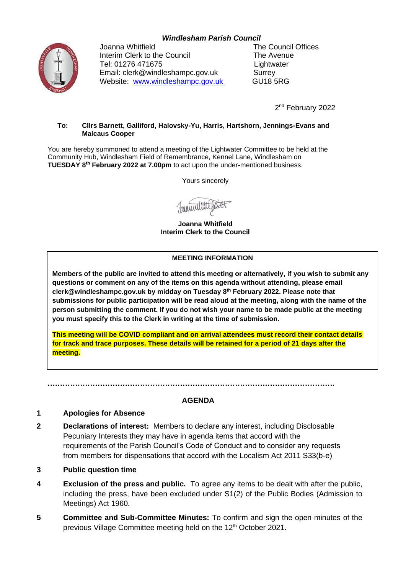# *Windlesham Parish Council*



Joanna Whitfield **The Council Offices** Interim Clerk to the Council The Avenue Tel: 01276 471675 Lightwater Email: clerk@windleshampc.gov.uk Surrey Website: [www.windleshampc.gov.uk](http://www.windleshampc.gov.uk/) GU18 5RG

2<sup>nd</sup> February 2022

#### **To: Cllrs Barnett, Galliford, Halovsky-Yu, Harris, Hartshorn, Jennings-Evans and Malcaus Cooper**

You are hereby summoned to attend a meeting of the Lightwater Committee to be held at the Community Hub, Windlesham Field of Remembrance, Kennel Lane, Windlesham on **TUESDAY 8 th February 2022 at 7.00pm** to act upon the under-mentioned business.

Yours sincerely

**Joanna Whitfield Interim Clerk to the Council**

### **MEETING INFORMATION**

**Members of the public are invited to attend this meeting or alternatively, if you wish to submit any questions or comment on any of the items on this agenda without attending, please email clerk@windleshampc.gov.uk by midday on Tuesday 8 th February 2022. Please note that submissions for public participation will be read aloud at the meeting, along with the name of the person submitting the comment. If you do not wish your name to be made public at the meeting you must specify this to the Clerk in writing at the time of submission.**

**This meeting will be COVID compliant and on arrival attendees must record their contact details for track and trace purposes. These details will be retained for a period of 21 days after the meeting.** 

**…………………………………………………………………………………………………….**

## **AGENDA**

### **1 Apologies for Absence**

- **2 Declarations of interest:** Members to declare any interest, including Disclosable Pecuniary Interests they may have in agenda items that accord with the requirements of the Parish Council's Code of Conduct and to consider any requests from members for dispensations that accord with the Localism Act 2011 S33(b-e)
- **3 Public question time**
- **4 Exclusion of the press and public.** To agree any items to be dealt with after the public, including the press, have been excluded under S1(2) of the Public Bodies (Admission to Meetings) Act 1960.
- **5 Committee and Sub-Committee Minutes:** To confirm and sign the open minutes of the previous Village Committee meeting held on the 12<sup>th</sup> October 2021.